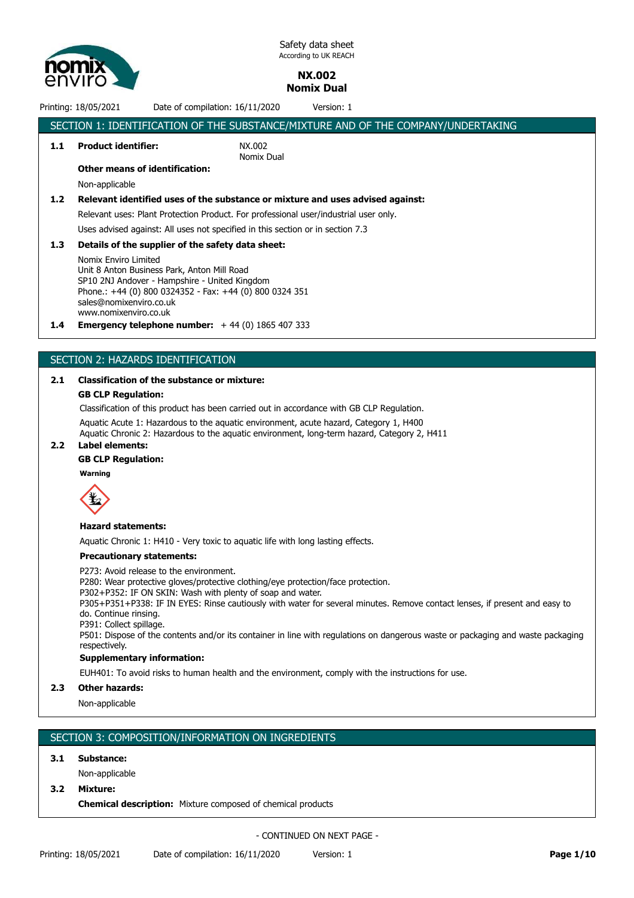

# **NX.002 Nomix Dual**

Printing: 18/05/2021 Date of compilation: 16/11/2020 Version: 1

|                  | SECTION 1: IDENTIFICATION OF THE SUBSTANCE/MIXTURE AND OF THE COMPANY/UNDERTAKING                                 |                                                                                      |  |  |
|------------------|-------------------------------------------------------------------------------------------------------------------|--------------------------------------------------------------------------------------|--|--|
| 1.1              | <b>Product identifier:</b>                                                                                        | NX.002<br>Nomix Dual                                                                 |  |  |
|                  | <b>Other means of identification:</b>                                                                             |                                                                                      |  |  |
|                  | Non-applicable                                                                                                    |                                                                                      |  |  |
| 1.2 <sub>2</sub> |                                                                                                                   | Relevant identified uses of the substance or mixture and uses advised against:       |  |  |
|                  |                                                                                                                   | Relevant uses: Plant Protection Product. For professional user/industrial user only. |  |  |
|                  | Uses advised against: All uses not specified in this section or in section 7.3                                    |                                                                                      |  |  |
| 1.3 <sub>2</sub> | Details of the supplier of the safety data sheet:                                                                 |                                                                                      |  |  |
|                  | Nomix Enviro Limited<br>Unit 8 Anton Business Park, Anton Mill Road<br>CD10.3N1.Andovor Hampphira, United Kingdom |                                                                                      |  |  |

SP10 2NJ Andover - Hampshire - United Kingdom Phone.: +44 (0) 800 0324352 - Fax: +44 (0) 800 0324 351 sales@nomixenviro.co.uk www.nomixenviro.co.uk

**1.4 Emergency telephone number:** + 44 (0) 1865 407 333

# SECTION 2: HAZARDS IDENTIFICATION

# **2.1 Classification of the substance or mixture:**

## **GB CLP Regulation:**

Classification of this product has been carried out in accordance with GB CLP Regulation.

Aquatic Acute 1: Hazardous to the aquatic environment, acute hazard, Category 1, H400

Aquatic Chronic 2: Hazardous to the aquatic environment, long-term hazard, Category 2, H411

#### **2.2 Label elements:**

# **GB CLP Regulation:**

**Warning**



#### **Hazard statements:**

Aquatic Chronic 1: H410 - Very toxic to aquatic life with long lasting effects.

### **Precautionary statements:**

P273: Avoid release to the environment.

P280: Wear protective gloves/protective clothing/eye protection/face protection.

P302+P352: IF ON SKIN: Wash with plenty of soap and water.

P305+P351+P338: IF IN EYES: Rinse cautiously with water for several minutes. Remove contact lenses, if present and easy to do. Continue rinsing.

P391: Collect spillage.

P501: Dispose of the contents and/or its container in line with regulations on dangerous waste or packaging and waste packaging respectively.

# **Supplementary information:**

EUH401: To avoid risks to human health and the environment, comply with the instructions for use.

# **2.3 Other hazards:**

Non-applicable

# SECTION 3: COMPOSITION/INFORMATION ON INGREDIENTS

#### **3.1 Substance:**

Non-applicable

# **3.2 Mixture:**

**Chemical description:** Mixture composed of chemical products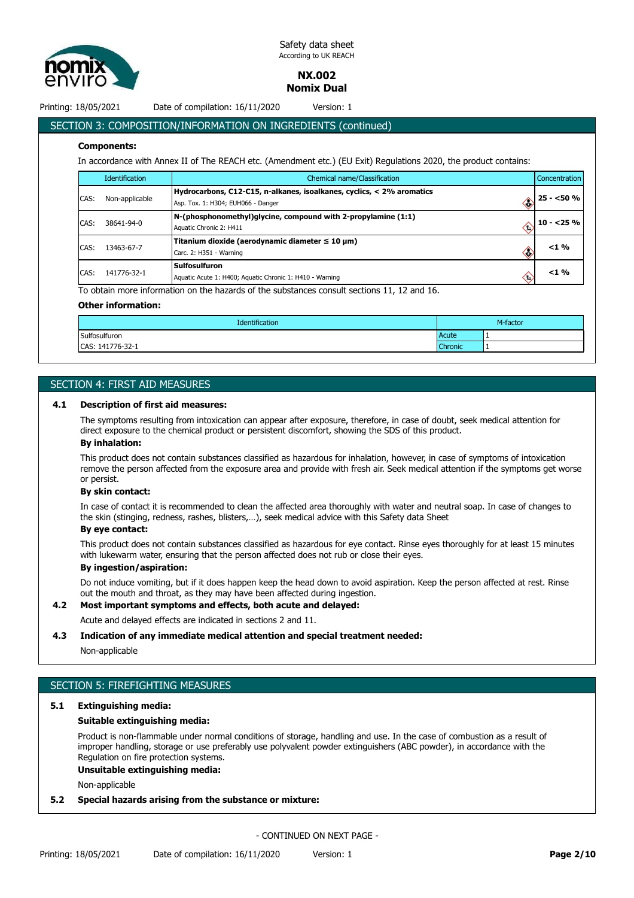

**NX.002**

**Nomix Dual**

Printing: 18/05/2021 Date of compilation: 16/11/2020 Version: 1

# SECTION 3: COMPOSITION/INFORMATION ON INGREDIENTS (continued)

#### **Components:**

In accordance with Annex II of The REACH etc. (Amendment etc.) (EU Exit) Regulations 2020, the product contains:

|      | Identification | Chemical name/Classification                                                                                        | Concentration |
|------|----------------|---------------------------------------------------------------------------------------------------------------------|---------------|
| CAS: | Non-applicable | Hydrocarbons, C12-C15, n-alkanes, isoalkanes, cyclics, < 2% aromatics<br>Asp. Tox. 1: H304; EUH066 - Danger<br>⇔    | $25 - 50 \%$  |
| CAS: | 38641-94-0     | N-(phosphonomethyl)glycine, compound with 2-propylamine (1:1)<br>$\langle \cdot \rangle$<br>Aquatic Chronic 2: H411 | $10 - 25 \%$  |
| CAS: | 13463-67-7     | Titanium dioxide (aerodynamic diameter $\leq 10 \mu m$ )<br>Carc. 2: H351 - Warning<br>⇔                            | $<$ 1 %       |
| CAS: | 141776-32-1    | <b>Sulfosulfuron</b><br>$\langle \cdot \rangle$<br>Aquatic Acute 1: H400; Aquatic Chronic 1: H410 - Warning         | $<$ 1 %       |

To obtain more information on the hazards of the substances consult sections 11, 12 and 16.

#### **Other information:**

| <b>Identification</b>  |  | M-factor |  |
|------------------------|--|----------|--|
| Sulfosulfuron<br>Acute |  |          |  |
| CAS: 141776-32-1       |  | . .      |  |

# SECTION 4: FIRST AID MEASURES

#### **4.1 Description of first aid measures:**

The symptoms resulting from intoxication can appear after exposure, therefore, in case of doubt, seek medical attention for direct exposure to the chemical product or persistent discomfort, showing the SDS of this product.

### **By inhalation:**

This product does not contain substances classified as hazardous for inhalation, however, in case of symptoms of intoxication remove the person affected from the exposure area and provide with fresh air. Seek medical attention if the symptoms get worse or persist.

#### **By skin contact:**

In case of contact it is recommended to clean the affected area thoroughly with water and neutral soap. In case of changes to the skin (stinging, redness, rashes, blisters,…), seek medical advice with this Safety data Sheet

# **By eye contact:**

This product does not contain substances classified as hazardous for eye contact. Rinse eyes thoroughly for at least 15 minutes with lukewarm water, ensuring that the person affected does not rub or close their eyes.

#### **By ingestion/aspiration:**

Do not induce vomiting, but if it does happen keep the head down to avoid aspiration. Keep the person affected at rest. Rinse out the mouth and throat, as they may have been affected during ingestion.

#### **4.2 Most important symptoms and effects, both acute and delayed:**

Acute and delayed effects are indicated in sections 2 and 11.

#### **4.3 Indication of any immediate medical attention and special treatment needed:**

#### Non-applicable

# SECTION 5: FIREFIGHTING MEASURES

#### **5.1 Extinguishing media:**

#### **Suitable extinguishing media:**

Product is non-flammable under normal conditions of storage, handling and use. In the case of combustion as a result of improper handling, storage or use preferably use polyvalent powder extinguishers (ABC powder), in accordance with the Regulation on fire protection systems.

## **Unsuitable extinguishing media:**

Non-applicable

#### **5.2 Special hazards arising from the substance or mixture:**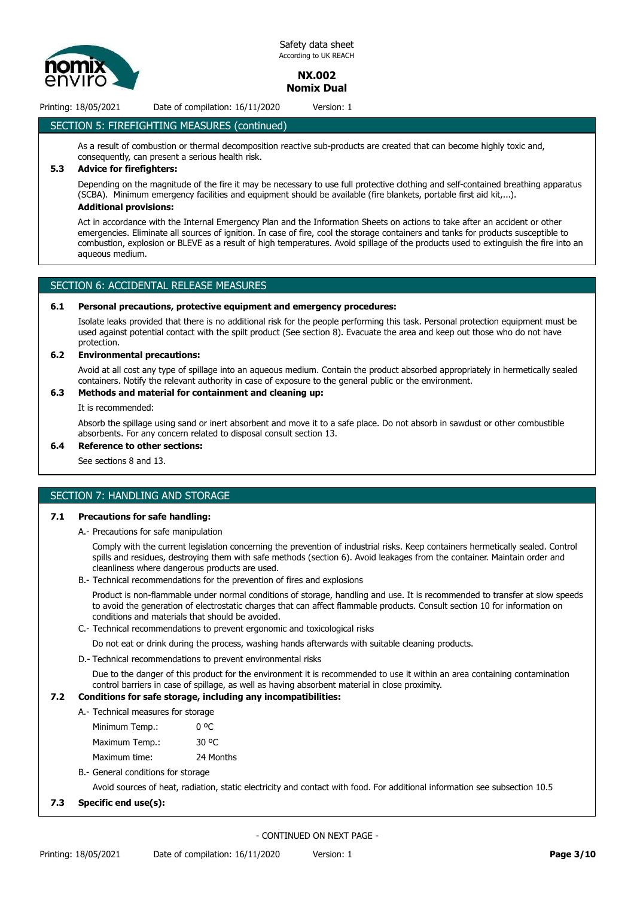

# **NX.002 Nomix Dual**

Printing: 18/05/2021 Date of compilation: 16/11/2020 Version: 1

# SECTION 5: FIREFIGHTING MEASURES (continued)

As a result of combustion or thermal decomposition reactive sub-products are created that can become highly toxic and, consequently, can present a serious health risk.

# **5.3 Advice for firefighters:**

Depending on the magnitude of the fire it may be necessary to use full protective clothing and self-contained breathing apparatus (SCBA). Minimum emergency facilities and equipment should be available (fire blankets, portable first aid kit,...). **Additional provisions:**

Act in accordance with the Internal Emergency Plan and the Information Sheets on actions to take after an accident or other emergencies. Eliminate all sources of ignition. In case of fire, cool the storage containers and tanks for products susceptible to combustion, explosion or BLEVE as a result of high temperatures. Avoid spillage of the products used to extinguish the fire into an aqueous medium.

# SECTION 6: ACCIDENTAL RELEASE MEASURES

#### **6.1 Personal precautions, protective equipment and emergency procedures:**

Isolate leaks provided that there is no additional risk for the people performing this task. Personal protection equipment must be used against potential contact with the spilt product (See section 8). Evacuate the area and keep out those who do not have protection.

#### **6.2 Environmental precautions:**

Avoid at all cost any type of spillage into an aqueous medium. Contain the product absorbed appropriately in hermetically sealed containers. Notify the relevant authority in case of exposure to the general public or the environment.

# **6.3 Methods and material for containment and cleaning up:**

It is recommended:

Absorb the spillage using sand or inert absorbent and move it to a safe place. Do not absorb in sawdust or other combustible absorbents. For any concern related to disposal consult section 13.

# **6.4 Reference to other sections:**

See sections 8 and 13.

# SECTION 7: HANDLING AND STORAGE

#### **7.1 Precautions for safe handling:**

A.- Precautions for safe manipulation

Comply with the current legislation concerning the prevention of industrial risks. Keep containers hermetically sealed. Control spills and residues, destroying them with safe methods (section 6). Avoid leakages from the container. Maintain order and cleanliness where dangerous products are used.

B.- Technical recommendations for the prevention of fires and explosions

Product is non-flammable under normal conditions of storage, handling and use. It is recommended to transfer at slow speeds to avoid the generation of electrostatic charges that can affect flammable products. Consult section 10 for information on conditions and materials that should be avoided.

C.- Technical recommendations to prevent ergonomic and toxicological risks

Do not eat or drink during the process, washing hands afterwards with suitable cleaning products.

D.- Technical recommendations to prevent environmental risks

Due to the danger of this product for the environment it is recommended to use it within an area containing contamination control barriers in case of spillage, as well as having absorbent material in close proximity.

## **7.2 Conditions for safe storage, including any incompatibilities:**

- A.- Technical measures for storage
	- Minimum Temp.: 0 °C Maximum Temp.: 30 °C

Maximum time: 24 Months

B.- General conditions for storage

Avoid sources of heat, radiation, static electricity and contact with food. For additional information see subsection 10.5

#### **7.3 Specific end use(s):**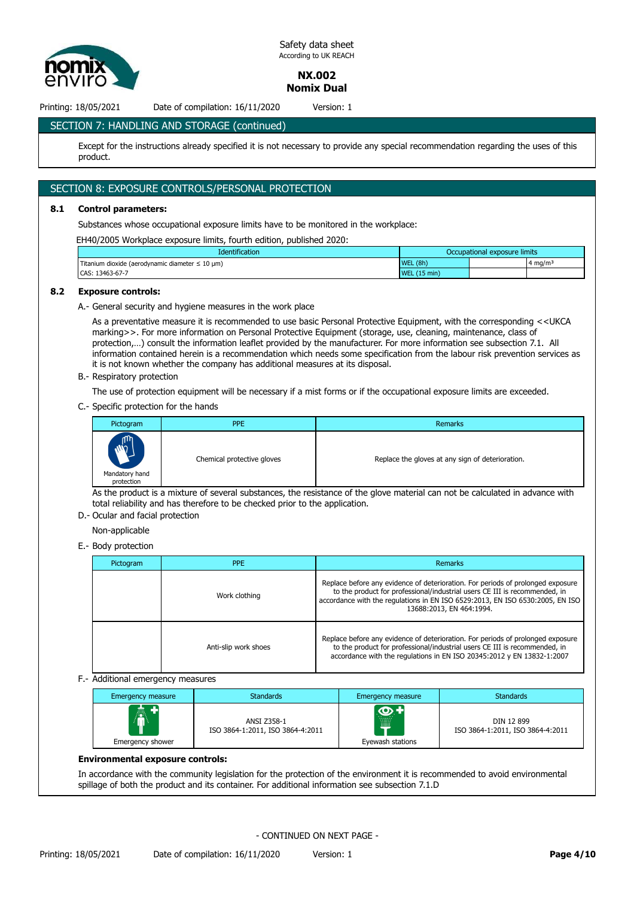

**NX.002 Nomix Dual**

Printing: 18/05/2021 Date of compilation: 16/11/2020 Version: 1

# SECTION 7: HANDLING AND STORAGE (continued)

Except for the instructions already specified it is not necessary to provide any special recommendation regarding the uses of this product.

# SECTION 8: EXPOSURE CONTROLS/PERSONAL PROTECTION

#### **8.1 Control parameters:**

Substances whose occupational exposure limits have to be monitored in the workplace:

EH40/2005 Workplace exposure limits, fourth edition, published 2020:

| <b>Identification</b>                                                  | Occupational exposure limits |  |                    |
|------------------------------------------------------------------------|------------------------------|--|--------------------|
| Titanium dioxide (aerodynamic diameter $\leq 10 \text{ }\mu\text{m}$ ) | WEL (8h)                     |  | $4 \text{ ma/m}^3$ |
| CAS: 13463-67-7                                                        | WEL $(15 \text{ min})$       |  |                    |

#### **8.2 Exposure controls:**

A.- General security and hygiene measures in the work place

As a preventative measure it is recommended to use basic Personal Protective Equipment, with the corresponding <<UKCA marking>>. For more information on Personal Protective Equipment (storage, use, cleaning, maintenance, class of protection,…) consult the information leaflet provided by the manufacturer. For more information see subsection 7.1. All information contained herein is a recommendation which needs some specification from the labour risk prevention services as it is not known whether the company has additional measures at its disposal.

B.- Respiratory protection

The use of protection equipment will be necessary if a mist forms or if the occupational exposure limits are exceeded.

C.- Specific protection for the hands

| Pictogram                                                 | <b>PPE</b>                 | Remarks                                          |
|-----------------------------------------------------------|----------------------------|--------------------------------------------------|
| $\mathbf{m}$<br>$\dot{M}$<br>Mandatory hand<br>protection | Chemical protective gloves | Replace the gloves at any sign of deterioration. |

As the product is a mixture of several substances, the resistance of the glove material can not be calculated in advance with total reliability and has therefore to be checked prior to the application.

D.- Ocular and facial protection

Non-applicable

E.- Body protection

| Pictogram | <b>PPE</b>           | Remarks                                                                                                                                                                                                                                                                    |
|-----------|----------------------|----------------------------------------------------------------------------------------------------------------------------------------------------------------------------------------------------------------------------------------------------------------------------|
|           | Work clothing        | Replace before any evidence of deterioration. For periods of prolonged exposure<br>to the product for professional/industrial users CE III is recommended, in<br>accordance with the regulations in EN ISO 6529:2013, EN ISO 6530:2005, EN ISO<br>13688:2013, EN 464:1994. |
|           | Anti-slip work shoes | Replace before any evidence of deterioration. For periods of prolonged exposure<br>to the product for professional/industrial users CE III is recommended, in<br>accordance with the regulations in EN ISO 20345:2012 y EN 13832-1:2007                                    |

F.- Additional emergency measures

| Emergency measure | <b>Standards</b>                                | Emergency measure             | <b>Standards</b>                               |
|-------------------|-------------------------------------------------|-------------------------------|------------------------------------------------|
| 鸁                 | ANSI Z358-1<br>ISO 3864-1:2011, ISO 3864-4:2011 | <b>O</b><br>. <b>.</b> .<br>▦ | DIN 12 899<br>ISO 3864-1:2011, ISO 3864-4:2011 |
| Emergency shower  |                                                 | Eyewash stations              |                                                |

#### **Environmental exposure controls:**

In accordance with the community legislation for the protection of the environment it is recommended to avoid environmental spillage of both the product and its container. For additional information see subsection 7.1.D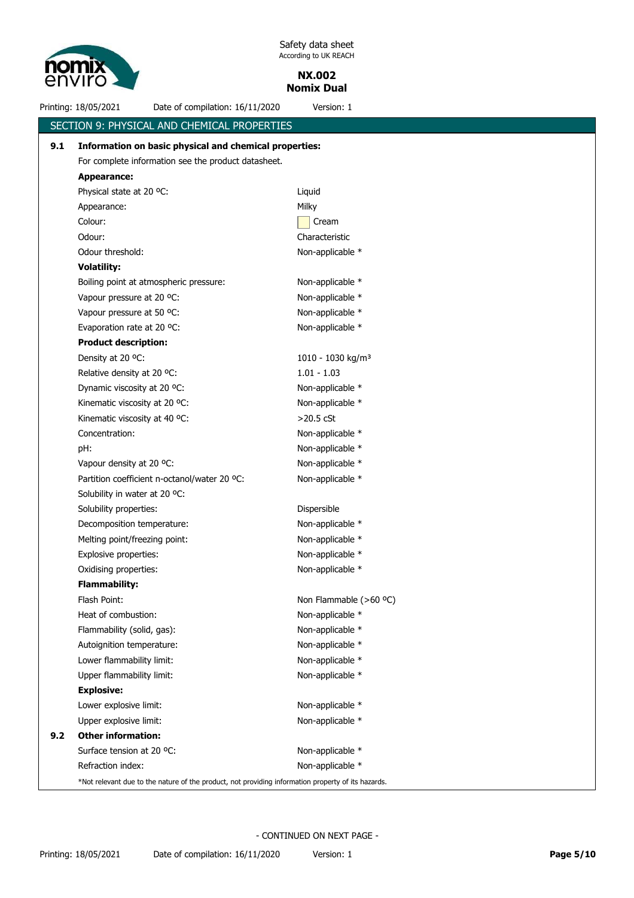

**NX.002 Nomix Dual**

Printing: 18/05/2021 Date of compilation: 16/11/2020 Version: 1

|     | SECTION 9: PHYSICAL AND CHEMICAL PROPERTIES                                                        |                               |
|-----|----------------------------------------------------------------------------------------------------|-------------------------------|
| 9.1 | Information on basic physical and chemical properties:                                             |                               |
|     | For complete information see the product datasheet.                                                |                               |
|     | <b>Appearance:</b>                                                                                 |                               |
|     | Physical state at 20 °C:                                                                           | Liquid                        |
|     | Appearance:                                                                                        | Milky                         |
|     | Colour:                                                                                            | Cream                         |
|     | Odour:                                                                                             | Characteristic                |
|     | Odour threshold:                                                                                   | Non-applicable *              |
|     | <b>Volatility:</b>                                                                                 |                               |
|     | Boiling point at atmospheric pressure:                                                             | Non-applicable *              |
|     | Vapour pressure at 20 °C:                                                                          | Non-applicable *              |
|     | Vapour pressure at 50 °C:                                                                          | Non-applicable *              |
|     | Evaporation rate at 20 °C:                                                                         | Non-applicable *              |
|     | <b>Product description:</b>                                                                        |                               |
|     | Density at 20 °C:                                                                                  | 1010 - 1030 kg/m <sup>3</sup> |
|     | Relative density at 20 °C:                                                                         | $1.01 - 1.03$                 |
|     | Dynamic viscosity at 20 °C:                                                                        | Non-applicable *              |
|     | Kinematic viscosity at 20 °C:                                                                      | Non-applicable *              |
|     | Kinematic viscosity at 40 °C:                                                                      | $>$ 20.5 $c$ St               |
|     | Concentration:                                                                                     | Non-applicable *              |
|     | pH:                                                                                                | Non-applicable *              |
|     | Vapour density at 20 °C:                                                                           | Non-applicable *              |
|     | Partition coefficient n-octanol/water 20 °C:                                                       | Non-applicable *              |
|     | Solubility in water at 20 °C:                                                                      |                               |
|     | Solubility properties:                                                                             | Dispersible                   |
|     | Decomposition temperature:                                                                         | Non-applicable *              |
|     | Melting point/freezing point:                                                                      | Non-applicable *              |
|     | Explosive properties:                                                                              | Non-applicable *              |
|     | Oxidising properties:                                                                              | Non-applicable *              |
|     | <b>Flammability:</b>                                                                               |                               |
|     | Flash Point:                                                                                       | Non Flammable (>60 °C)        |
|     | Heat of combustion:                                                                                | Non-applicable *              |
|     | Flammability (solid, gas):                                                                         | Non-applicable *              |
|     | Autoignition temperature:                                                                          | Non-applicable *              |
|     | Lower flammability limit:                                                                          | Non-applicable *              |
|     | Upper flammability limit:                                                                          | Non-applicable *              |
|     | <b>Explosive:</b>                                                                                  |                               |
|     | Lower explosive limit:                                                                             | Non-applicable *              |
|     | Upper explosive limit:                                                                             | Non-applicable *              |
| 9.2 | <b>Other information:</b>                                                                          |                               |
|     | Surface tension at 20 °C:                                                                          | Non-applicable *              |
|     | Refraction index:                                                                                  | Non-applicable *              |
|     | *Not relevant due to the nature of the product, not providing information property of its hazards. |                               |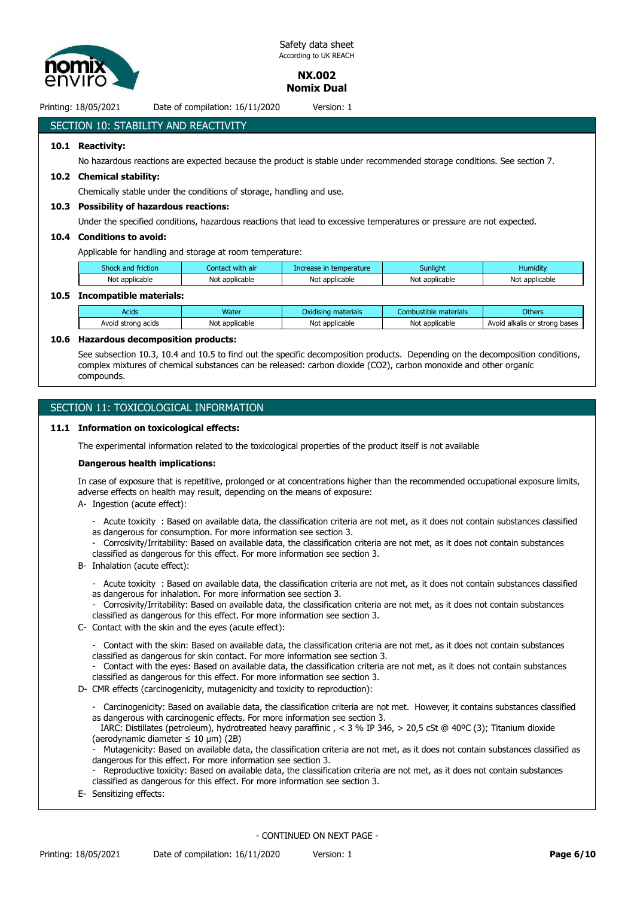

> **NX.002 Nomix Dual**

Printing: 18/05/2021 Date of compilation: 16/11/2020 Version: 1

# SECTION 10: STABILITY AND REACTIVITY

#### **10.1 Reactivity:**

No hazardous reactions are expected because the product is stable under recommended storage conditions. See section 7.

#### **10.2 Chemical stability:**

Chemically stable under the conditions of storage, handling and use.

#### **10.3 Possibility of hazardous reactions:**

Under the specified conditions, hazardous reactions that lead to excessive temperatures or pressure are not expected.

#### **10.4 Conditions to avoid:**

Applicable for handling and storage at room temperature:

| Not applicable<br>Not<br>Not<br>∶ applicable<br>t applicable<br>Not applicable<br>Not applicable | shock<br>l friction<br>and | : with air<br>:onta | temperature<br>Increase | Sunlight | Humiditv |
|--------------------------------------------------------------------------------------------------|----------------------------|---------------------|-------------------------|----------|----------|
|                                                                                                  |                            |                     |                         |          |          |

#### **10.5 Incompatible materials:**

| Acids              | Water          | Oxidising materials | Combustible materials | Others                        |
|--------------------|----------------|---------------------|-----------------------|-------------------------------|
| Avoid strong acids | Not applicable | Not applicable      | Not applicable        | Avoid alkalis or strong bases |

#### **10.6 Hazardous decomposition products:**

See subsection 10.3, 10.4 and 10.5 to find out the specific decomposition products. Depending on the decomposition conditions, complex mixtures of chemical substances can be released: carbon dioxide (CO2), carbon monoxide and other organic compounds.

# SECTION 11: TOXICOLOGICAL INFORMATION

#### **11.1 Information on toxicological effects:**

The experimental information related to the toxicological properties of the product itself is not available

#### **Dangerous health implications:**

In case of exposure that is repetitive, prolonged or at concentrations higher than the recommended occupational exposure limits, adverse effects on health may result, depending on the means of exposure:

- A- Ingestion (acute effect):
	- Acute toxicity : Based on available data, the classification criteria are not met, as it does not contain substances classified as dangerous for consumption. For more information see section 3.
	- Corrosivity/Irritability: Based on available data, the classification criteria are not met, as it does not contain substances classified as dangerous for this effect. For more information see section 3.
- B- Inhalation (acute effect):
	- Acute toxicity : Based on available data, the classification criteria are not met, as it does not contain substances classified as dangerous for inhalation. For more information see section 3.
	- Corrosivity/Irritability: Based on available data, the classification criteria are not met, as it does not contain substances classified as dangerous for this effect. For more information see section 3.
- C- Contact with the skin and the eyes (acute effect):
	- Contact with the skin: Based on available data, the classification criteria are not met, as it does not contain substances classified as dangerous for skin contact. For more information see section 3.
	- Contact with the eyes: Based on available data, the classification criteria are not met, as it does not contain substances classified as dangerous for this effect. For more information see section 3.
- D- CMR effects (carcinogenicity, mutagenicity and toxicity to reproduction):
	- Carcinogenicity: Based on available data, the classification criteria are not met. However, it contains substances classified as dangerous with carcinogenic effects. For more information see section 3.

 IARC: Distillates (petroleum), hydrotreated heavy paraffinic , < 3 % IP 346, > 20,5 cSt @ 40ºC (3); Titanium dioxide (aerodynamic diameter  $\leq 10$  µm) (2B)

- Mutagenicity: Based on available data, the classification criteria are not met, as it does not contain substances classified as dangerous for this effect. For more information see section 3.

- Reproductive toxicity: Based on available data, the classification criteria are not met, as it does not contain substances classified as dangerous for this effect. For more information see section 3.
- E- Sensitizing effects: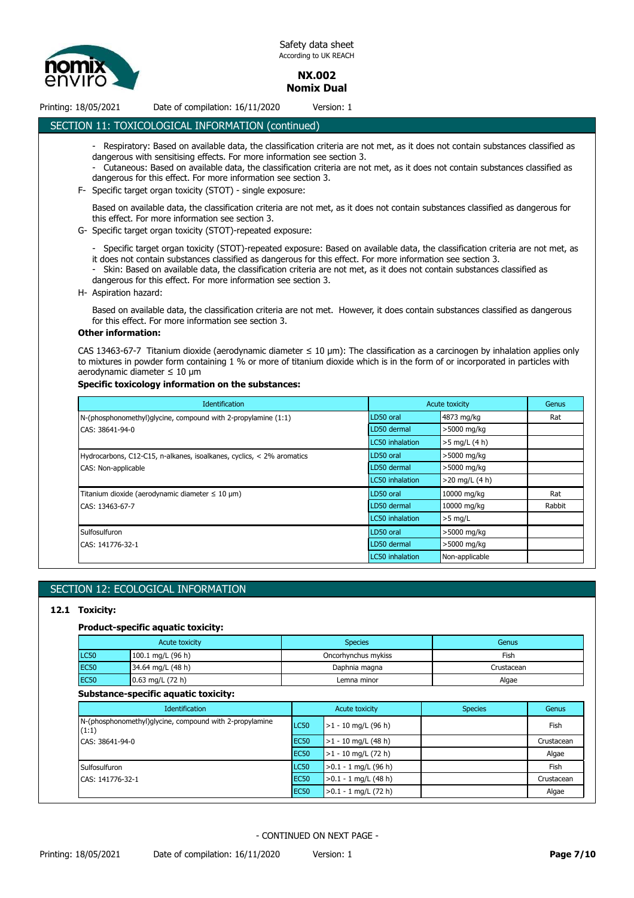

**NX.002 Nomix Dual**

# Printing: 18/05/2021 Date of compilation: 16/11/2020 Version: 1

# SECTION 11: TOXICOLOGICAL INFORMATION (continued)

- Respiratory: Based on available data, the classification criteria are not met, as it does not contain substances classified as dangerous with sensitising effects. For more information see section 3.
- Cutaneous: Based on available data, the classification criteria are not met, as it does not contain substances classified as dangerous for this effect. For more information see section 3.
- F- Specific target organ toxicity (STOT) single exposure:

Based on available data, the classification criteria are not met, as it does not contain substances classified as dangerous for this effect. For more information see section 3.

- G- Specific target organ toxicity (STOT)-repeated exposure:
	- Specific target organ toxicity (STOT)-repeated exposure: Based on available data, the classification criteria are not met, as it does not contain substances classified as dangerous for this effect. For more information see section 3.
	- Skin: Based on available data, the classification criteria are not met, as it does not contain substances classified as dangerous for this effect. For more information see section 3.
- H- Aspiration hazard:

Based on available data, the classification criteria are not met. However, it does contain substances classified as dangerous for this effect. For more information see section 3.

#### **Other information:**

CAS 13463-67-7 Titanium dioxide (aerodynamic diameter ≤ 10 μm): The classification as a carcinogen by inhalation applies only to mixtures in powder form containing 1 % or more of titanium dioxide which is in the form of or incorporated in particles with aerodynamic diameter ≤ 10 μm

#### **Specific toxicology information on the substances:**

| <b>Identification</b>                                                 |                 | <b>Acute toxicity</b> | Genus  |
|-----------------------------------------------------------------------|-----------------|-----------------------|--------|
| N-(phosphonomethyl)glycine, compound with 2-propylamine (1:1)         | LD50 oral       | 4873 mg/kg            | Rat    |
| CAS: 38641-94-0                                                       | LD50 dermal     | >5000 mg/kg           |        |
|                                                                       | LC50 inhalation | $>5$ mg/L (4 h)       |        |
| Hydrocarbons, C12-C15, n-alkanes, isoalkanes, cyclics, < 2% aromatics | LD50 oral       | >5000 mg/kg           |        |
| CAS: Non-applicable                                                   | LD50 dermal     | >5000 mg/kg           |        |
|                                                                       | LC50 inhalation | $>20$ mg/L (4 h)      |        |
| Titanium dioxide (aerodynamic diameter $\leq 10 \mu m$ )              | LD50 oral       | 10000 mg/kg           | Rat    |
| CAS: 13463-67-7                                                       | LD50 dermal     | 10000 mg/kg           | Rabbit |
|                                                                       | LC50 inhalation | $>5$ mg/L             |        |
| Sulfosulfuron                                                         | LD50 oral       | >5000 mg/kg           |        |
| CAS: 141776-32-1                                                      | LD50 dermal     | >5000 mg/kg           |        |
|                                                                       | LC50 inhalation | Non-applicable        |        |

# SECTION 12: ECOLOGICAL INFORMATION

#### **12.1 Toxicity:**

#### **Product-specific aquatic toxicity:**

|             | Acute toxicity      | <b>Species</b>      | Genus      |
|-------------|---------------------|---------------------|------------|
| LC50        | $100.1$ mg/L (96 h) | Oncorhynchus mykiss | Fish       |
| <b>EC50</b> | 34.64 mg/L $(48 h)$ | Daphnia magna       | Crustacean |
| <b>EC50</b> | $0.63$ mg/L (72 h)  | Lemna minor         | Algae      |

#### **Substance-specific aquatic toxicity:**

| <b>Identification</b>                                                               | Acute toxicity   |                        | <b>Species</b> | Genus      |
|-------------------------------------------------------------------------------------|------------------|------------------------|----------------|------------|
| N-(phosphonomethyl)glycine, compound with 2-propylamine<br>(1:1)<br>CAS: 38641-94-0 | LC50             | $>1 - 10$ mg/L (96 h)  |                | Fish       |
|                                                                                     | EC <sub>50</sub> | $>1 - 10$ mg/L (48 h)  |                | Crustacean |
|                                                                                     | <b>EC50</b>      | $>1 - 10$ mg/L (72 h)  |                | Algae      |
| Sulfosulfuron                                                                       | LC50             | $>0.1 - 1$ mg/L (96 h) |                | Fish       |
| CAS: 141776-32-1                                                                    | <b>EC50</b>      | $>0.1 - 1$ mg/L (48 h) |                | Crustacean |
|                                                                                     | EC <sub>50</sub> | $>0.1 - 1$ mg/L (72 h) |                | Algae      |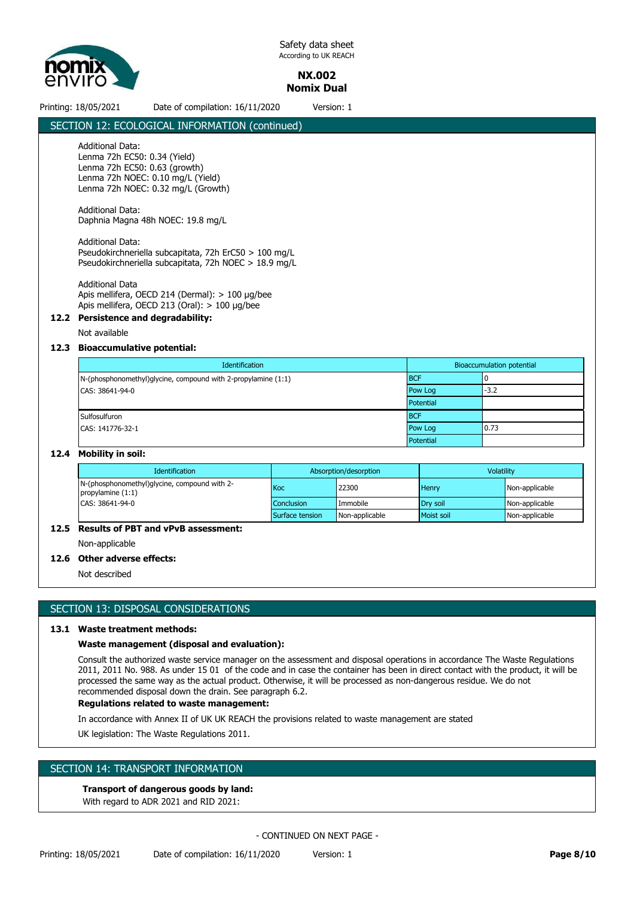

**NX.002 Nomix Dual**

# Printing: 18/05/2021 Date of compilation: 16/11/2020 Version: 1

# SECTION 12: ECOLOGICAL INFORMATION (continued)

# Additional Data:

Lenma 72h EC50: 0.34 (Yield) Lenma 72h EC50: 0.63 (growth) Lenma 72h NOEC: 0.10 mg/L (Yield) Lenma 72h NOEC: 0.32 mg/L (Growth)

Additional Data: Daphnia Magna 48h NOEC: 19.8 mg/L

#### Additional Data:

Pseudokirchneriella subcapitata, 72h ErC50 > 100 mg/L Pseudokirchneriella subcapitata, 72h NOEC > 18.9 mg/L

Additional Data Apis mellifera, OECD 214 (Dermal): > 100 µg/bee Apis mellifera, OECD 213 (Oral): > 100 µg/bee

# **12.2 Persistence and degradability:**

Not available

#### **12.3 Bioaccumulative potential:**

| Identification                                                | <b>Bioaccumulation potential</b> |        |  |
|---------------------------------------------------------------|----------------------------------|--------|--|
| N-(phosphonomethyl)glycine, compound with 2-propylamine (1:1) | <b>BCF</b>                       |        |  |
| CAS: 38641-94-0                                               | Pow Log                          | $-3.2$ |  |
|                                                               | Potential                        |        |  |
| Sulfosulfuron                                                 | <b>BCF</b>                       |        |  |
| CAS: 141776-32-1                                              | Pow Log                          | 0.73   |  |
|                                                               | Potential                        |        |  |

#### **12.4 Mobility in soil:**

| <b>Identification</b>                                                                  |                   | Absorption/desorption | <b>Volatility</b> |                |
|----------------------------------------------------------------------------------------|-------------------|-----------------------|-------------------|----------------|
| N-(phosphonomethyl)glycine, compound with 2-<br>propylamine $(1:1)$<br>CAS: 38641-94-0 | Koc               | 22300                 | <b>Henry</b>      | Non-applicable |
|                                                                                        | <b>Conclusion</b> | Immobile              | Drv soil          | Non-applicable |
|                                                                                        | Surface tension   | Non-applicable        | Moist soil        | Non-applicable |

# **12.5 Results of PBT and vPvB assessment:**

Non-applicable

#### **12.6 Other adverse effects:**

Not described

# SECTION 13: DISPOSAL CONSIDERATIONS

#### **13.1 Waste treatment methods:**

#### **Waste management (disposal and evaluation):**

Consult the authorized waste service manager on the assessment and disposal operations in accordance The Waste Regulations 2011, 2011 No. 988. As under 15 01 of the code and in case the container has been in direct contact with the product, it will be processed the same way as the actual product. Otherwise, it will be processed as non-dangerous residue. We do not recommended disposal down the drain. See paragraph 6.2.

# **Regulations related to waste management:**

In accordance with Annex II of UK UK REACH the provisions related to waste management are stated

UK legislation: The Waste Regulations 2011.

# SECTION 14: TRANSPORT INFORMATION

# **Transport of dangerous goods by land:**

With regard to ADR 2021 and RID 2021: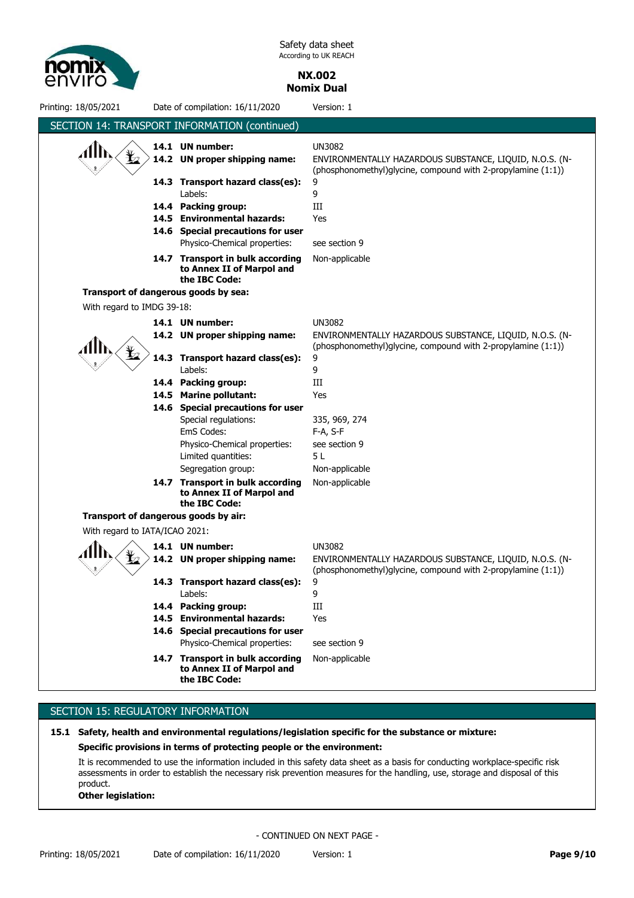

> **NX.002 Nomix Dual**

Printing: 18/05/2021 Date of compilation: 16/11/2020 Version: 1 SECTION 14: TRANSPORT INFORMATION (continued) **14.6 Special precautions for user 14.4 Packing group:** III **14.3 Transport hazard class(es):** 9 **14.2 UN proper shipping name: 14.1 UN number:** UN3082 Physico-Chemical properties: see section 9 Labels: 9 ENVIRONMENTALLY HAZARDOUS SUBSTANCE, LIQUID, N.O.S. (N- (phosphonomethyl)glycine, compound with 2-propylamine (1:1)) **14.5 Environmental hazards:** Yes 14.7 Transport in bulk according Non-applicable **to Annex II of Marpol and the IBC Code: Transport of dangerous goods by sea:** With regard to IMDG 39-18: Limited quantities: 5 L 14.7 Transport in bulk according Non-applicable **to Annex II of Marpol and the IBC Code:** 14.6 Special precautions for user **14.5 Marine pollutant:** Yes EmS Codes: F-A, S-F **14.4 Packing group: 14.3 Transport hazard class(es): 14.2 UN proper shipping name: 14.1 UN number:** Labels: Special regulations: Physico-Chemical properties: UN3082 9 III 9 ENVIRONMENTALLY HAZARDOUS SUBSTANCE, LIQUID, N.O.S. (N- (phosphonomethyl)glycine, compound with 2-propylamine (1:1)) 335, 969, 274 see section 9 Segregation group: Non-applicable **Transport of dangerous goods by air:** With regard to IATA/ICAO 2021: **14.6 Special precautions for user 14.4 Packing group:** III **14.3 Transport hazard class(es):** 9 **14.2 UN proper shipping name: 14.1 UN number:** UN3082 Physico-Chemical properties: see section 9 Labels: 9 ENVIRONMENTALLY HAZARDOUS SUBSTANCE, LIQUID, N.O.S. (N- (phosphonomethyl)glycine, compound with 2-propylamine (1:1)) **14.5 Environmental hazards:** Yes 14.7 Transport in bulk according Non-applicable **to Annex II of Marpol and the IBC Code:**

# SECTION 15: REGULATORY INFORMATION

#### **15.1 Safety, health and environmental regulations/legislation specific for the substance or mixture:**

#### **Specific provisions in terms of protecting people or the environment:**

It is recommended to use the information included in this safety data sheet as a basis for conducting workplace-specific risk assessments in order to establish the necessary risk prevention measures for the handling, use, storage and disposal of this product.

#### **Other legislation:**